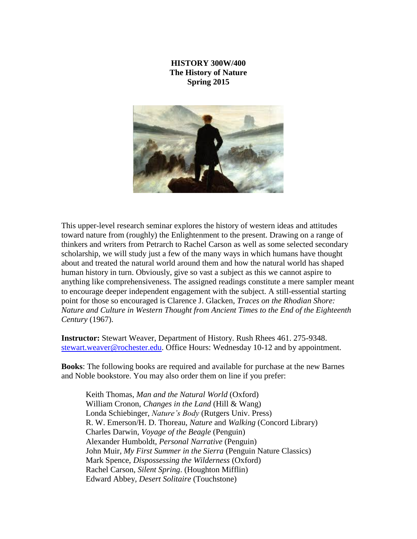## **HISTORY 300W/400 The History of Nature Spring 2015**



This upper-level research seminar explores the history of western ideas and attitudes toward nature from (roughly) the Enlightenment to the present. Drawing on a range of thinkers and writers from Petrarch to Rachel Carson as well as some selected secondary scholarship, we will study just a few of the many ways in which humans have thought about and treated the natural world around them and how the natural world has shaped human history in turn. Obviously, give so vast a subject as this we cannot aspire to anything like comprehensiveness. The assigned readings constitute a mere sampler meant to encourage deeper independent engagement with the subject. A still-essential starting point for those so encouraged is Clarence J. Glacken, *Traces on the Rhodian Shore: Nature and Culture in Western Thought from Ancient Times to the End of the Eighteenth Century* (1967).

**Instructor:** Stewart Weaver, Department of History. Rush Rhees 461. 275-9348. [stewart.weaver@rochester.edu.](mailto:stewart.weaver@rochester.edu) Office Hours: Wednesday 10-12 and by appointment.

**Books**: The following books are required and available for purchase at the new Barnes and Noble bookstore. You may also order them on line if you prefer:

Keith Thomas, *Man and the Natural World* (Oxford) William Cronon, *Changes in the Land* (Hill & Wang) Londa Schiebinger, *Nature's Body* (Rutgers Univ. Press) R. W. Emerson/H. D. Thoreau, *Nature* and *Walking* (Concord Library) Charles Darwin, *Voyage of the Beagle* (Penguin) Alexander Humboldt, *Personal Narrative* (Penguin) John Muir, *My First Summer in the Sierra* (Penguin Nature Classics) Mark Spence, *Dispossessing the Wilderness* (Oxford) Rachel Carson, *Silent Spring*. (Houghton Mifflin) Edward Abbey, *Desert Solitaire* (Touchstone)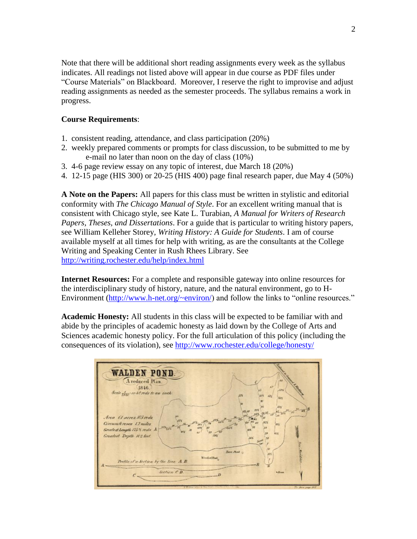Note that there will be additional short reading assignments every week as the syllabus indicates. All readings not listed above will appear in due course as PDF files under "Course Materials" on Blackboard. Moreover, I reserve the right to improvise and adjust reading assignments as needed as the semester proceeds. The syllabus remains a work in progress.

## **Course Requirements**:

- 1. consistent reading, attendance, and class participation (20%)
- 2. weekly prepared comments or prompts for class discussion, to be submitted to me by e-mail no later than noon on the day of class (10%)
- 3. 4-6 page review essay on any topic of interest, due March 18 (20%)
- 4. 12-15 page (HIS 300) or 20-25 (HIS 400) page final research paper, due May 4 (50%)

**A Note on the Papers:** All papers for this class must be written in stylistic and editorial conformity with *The Chicago Manual of Style*. For an excellent writing manual that is consistent with Chicago style, see Kate L. Turabian, *A Manual for Writers of Research Papers, Theses, and Dissertations*. For a guide that is particular to writing history papers, see William Kelleher Storey, *Writing History: A Guide for Students*. I am of course available myself at all times for help with writing, as are the consultants at the College Writing and Speaking Center in Rush Rhees Library. See <http://writing.rochester.edu/help/index.html>

**Internet Resources:** For a complete and responsible gateway into online resources for the interdisciplinary study of history, nature, and the natural environment, go to H-Environment [\(http://www.h-net.org/~environ/\)](http://www.h-net.org/~environ/) and follow the links to "online resources."

**Academic Honesty:** All students in this class will be expected to be familiar with and abide by the principles of academic honesty as laid down by the College of Arts and Sciences academic honesty policy. For the full articulation of this policy (including the consequences of its violation), see<http://www.rochester.edu/college/honesty/>

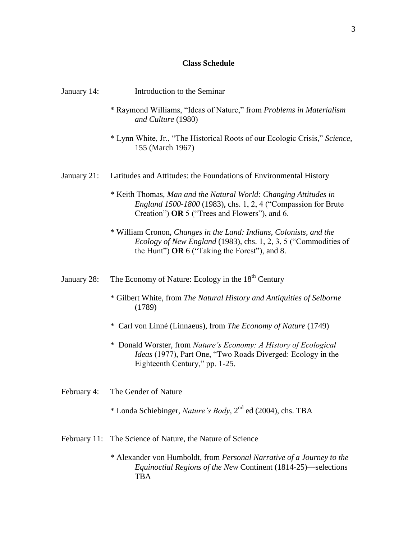# **Class Schedule**

| January 14:  | Introduction to the Seminar                                                                                                                                                                     |
|--------------|-------------------------------------------------------------------------------------------------------------------------------------------------------------------------------------------------|
|              | * Raymond Williams, "Ideas of Nature," from Problems in Materialism<br>and Culture (1980)                                                                                                       |
|              | * Lynn White, Jr., "The Historical Roots of our Ecologic Crisis," Science,<br>155 (March 1967)                                                                                                  |
| January 21:  | Latitudes and Attitudes: the Foundations of Environmental History                                                                                                                               |
|              | * Keith Thomas, Man and the Natural World: Changing Attitudes in<br><i>England 1500-1800</i> (1983), chs. 1, 2, 4 ("Compassion for Brute<br>Creation") OR 5 ("Trees and Flowers"), and 6.       |
|              | * William Cronon, Changes in the Land: Indians, Colonists, and the<br><i>Ecology of New England</i> (1983), chs. 1, 2, 3, 5 ("Commodities of<br>the Hunt") OR $6$ ("Taking the Forest"), and 8. |
| January 28:  | The Economy of Nature: Ecology in the 18 <sup>th</sup> Century                                                                                                                                  |
|              | * Gilbert White, from The Natural History and Antiquities of Selborne<br>(1789)                                                                                                                 |
|              | * Carl von Linné (Linnaeus), from The Economy of Nature (1749)                                                                                                                                  |
|              | * Donald Worster, from Nature's Economy: A History of Ecological<br><i>Ideas</i> (1977), Part One, "Two Roads Diverged: Ecology in the<br>Eighteenth Century," pp. 1-25.                        |
| February 4:  | The Gender of Nature                                                                                                                                                                            |
|              | * Londa Schiebinger, <i>Nature's Body</i> , $2^{nd}$ ed (2004), chs. TBA                                                                                                                        |
| February 11: | The Science of Nature, the Nature of Science                                                                                                                                                    |
|              | * Alexander von Humboldt, from Personal Narrative of a Journey to the                                                                                                                           |

*Equinoctial Regions of the New* Continent (1814-25)—selections

**TBA**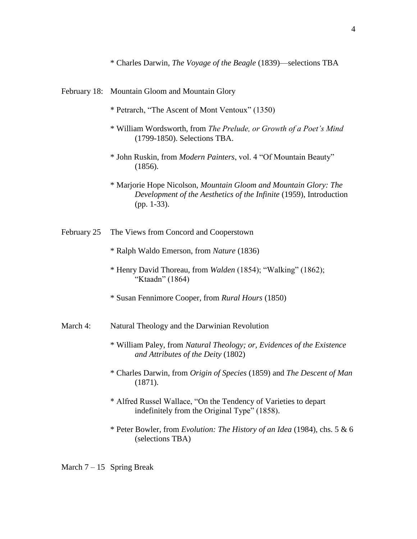\* Charles Darwin, *The Voyage of the Beagle* (1839)—selections TBA

#### February 18: Mountain Gloom and Mountain Glory

- \* Petrarch, "The Ascent of Mont Ventoux" (1350)
- \* William Wordsworth, from *The Prelude, or Growth of a Poet's Mind* (1799-1850). Selections TBA.
- \* John Ruskin, from *Modern Painters*, vol. 4 "Of Mountain Beauty" (1856).
- \* Marjorie Hope Nicolson, *Mountain Gloom and Mountain Glory: The Development of the Aesthetics of the Infinite* (1959), Introduction (pp. 1-33).

### February 25 The Views from Concord and Cooperstown

- \* Ralph Waldo Emerson, from *Nature* (1836)
- \* Henry David Thoreau, from *Walden* (1854); "Walking" (1862); "Ktaadn" (1864)
- \* Susan Fennimore Cooper, from *Rural Hours* (1850)

## March 4: Natural Theology and the Darwinian Revolution

- \* William Paley, from *Natural Theology; or, Evidences of the Existence and Attributes of the Deity* (1802)
- \* Charles Darwin, from *Origin of Species* (1859) and *The Descent of Man* (1871).
- \* Alfred Russel Wallace, "On the Tendency of Varieties to depart indefinitely from the Original Type" (1858).
- \* Peter Bowler, from *Evolution: The History of an Idea* (1984), chs. 5 & 6 (selections TBA)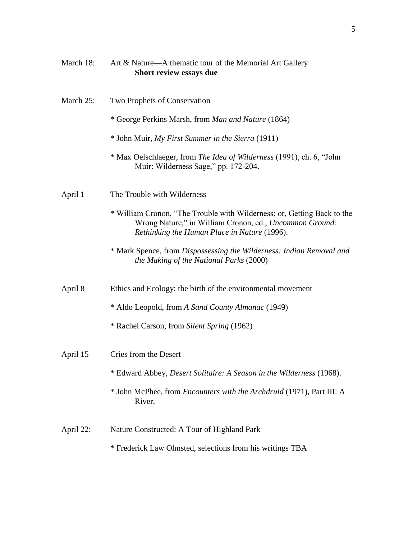| March 18: | Art & Nature-A thematic tour of the Memorial Art Gallery<br>Short review essays due                                                                                                |
|-----------|------------------------------------------------------------------------------------------------------------------------------------------------------------------------------------|
| March 25: | Two Prophets of Conservation                                                                                                                                                       |
|           | * George Perkins Marsh, from Man and Nature (1864)                                                                                                                                 |
|           | * John Muir, My First Summer in the Sierra (1911)                                                                                                                                  |
|           | * Max Oelschlaeger, from The Idea of Wilderness (1991), ch. 6, "John<br>Muir: Wilderness Sage," pp. 172-204.                                                                       |
| April 1   | The Trouble with Wilderness                                                                                                                                                        |
|           | * William Cronon, "The Trouble with Wilderness; or, Getting Back to the<br>Wrong Nature," in William Cronon, ed., Uncommon Ground:<br>Rethinking the Human Place in Nature (1996). |
|           | * Mark Spence, from Dispossessing the Wilderness: Indian Removal and<br>the Making of the National Parks (2000)                                                                    |
| April 8   | Ethics and Ecology: the birth of the environmental movement                                                                                                                        |
|           | * Aldo Leopold, from A Sand County Almanac (1949)                                                                                                                                  |
|           | * Rachel Carson, from Silent Spring (1962)                                                                                                                                         |
| April 15  | Cries from the Desert                                                                                                                                                              |
|           | * Edward Abbey, Desert Solitaire: A Season in the Wilderness (1968).                                                                                                               |
|           | * John McPhee, from <i>Encounters with the Archdruid</i> (1971), Part III: A<br>River.                                                                                             |
| April 22: | Nature Constructed: A Tour of Highland Park                                                                                                                                        |
|           | * Frederick Law Olmsted, selections from his writings TBA                                                                                                                          |